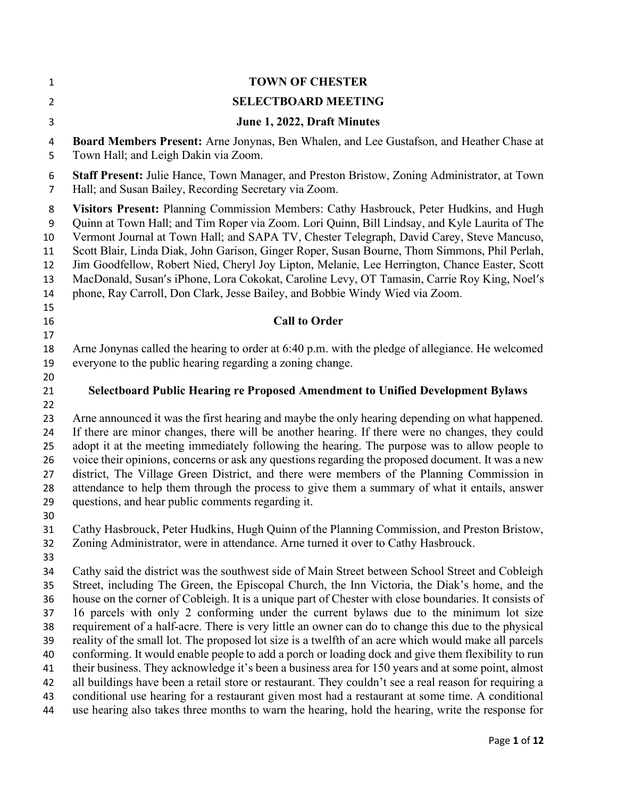| 1                                                              | <b>TOWN OF CHESTER</b>                                                                                                                                                                                                                                                                                                                                                                                                                                                                                                                                                                                                                                                                                                                                                                                                                                                                                                                                                                                                                                                                                                                            |
|----------------------------------------------------------------|---------------------------------------------------------------------------------------------------------------------------------------------------------------------------------------------------------------------------------------------------------------------------------------------------------------------------------------------------------------------------------------------------------------------------------------------------------------------------------------------------------------------------------------------------------------------------------------------------------------------------------------------------------------------------------------------------------------------------------------------------------------------------------------------------------------------------------------------------------------------------------------------------------------------------------------------------------------------------------------------------------------------------------------------------------------------------------------------------------------------------------------------------|
| $\overline{2}$                                                 | <b>SELECTBOARD MEETING</b>                                                                                                                                                                                                                                                                                                                                                                                                                                                                                                                                                                                                                                                                                                                                                                                                                                                                                                                                                                                                                                                                                                                        |
| 3                                                              | June 1, 2022, Draft Minutes                                                                                                                                                                                                                                                                                                                                                                                                                                                                                                                                                                                                                                                                                                                                                                                                                                                                                                                                                                                                                                                                                                                       |
| 4<br>5                                                         | Board Members Present: Arne Jonynas, Ben Whalen, and Lee Gustafson, and Heather Chase at<br>Town Hall; and Leigh Dakin via Zoom.                                                                                                                                                                                                                                                                                                                                                                                                                                                                                                                                                                                                                                                                                                                                                                                                                                                                                                                                                                                                                  |
| 6<br>$\overline{7}$                                            | Staff Present: Julie Hance, Town Manager, and Preston Bristow, Zoning Administrator, at Town<br>Hall; and Susan Bailey, Recording Secretary via Zoom.                                                                                                                                                                                                                                                                                                                                                                                                                                                                                                                                                                                                                                                                                                                                                                                                                                                                                                                                                                                             |
| 8<br>9<br>10<br>11<br>12<br>13<br>14                           | Visitors Present: Planning Commission Members: Cathy Hasbrouck, Peter Hudkins, and Hugh<br>Quinn at Town Hall; and Tim Roper via Zoom. Lori Quinn, Bill Lindsay, and Kyle Laurita of The<br>Vermont Journal at Town Hall; and SAPA TV, Chester Telegraph, David Carey, Steve Mancuso,<br>Scott Blair, Linda Diak, John Garison, Ginger Roper, Susan Bourne, Thom Simmons, Phil Perlah,<br>Jim Goodfellow, Robert Nied, Cheryl Joy Lipton, Melanie, Lee Herrington, Chance Easter, Scott<br>MacDonald, Susan's iPhone, Lora Cokokat, Caroline Levy, OT Tamasin, Carrie Roy King, Noel's<br>phone, Ray Carroll, Don Clark, Jesse Bailey, and Bobbie Windy Wied via Zoom.                                                                                                                                                                                                                                                                                                                                                                                                                                                                            |
| 15<br>16<br>17                                                 | <b>Call to Order</b>                                                                                                                                                                                                                                                                                                                                                                                                                                                                                                                                                                                                                                                                                                                                                                                                                                                                                                                                                                                                                                                                                                                              |
| 18<br>19<br>20                                                 | Arne Jonynas called the hearing to order at 6:40 p.m. with the pledge of allegiance. He welcomed<br>everyone to the public hearing regarding a zoning change.                                                                                                                                                                                                                                                                                                                                                                                                                                                                                                                                                                                                                                                                                                                                                                                                                                                                                                                                                                                     |
| 21<br>22                                                       | <b>Selectboard Public Hearing re Proposed Amendment to Unified Development Bylaws</b>                                                                                                                                                                                                                                                                                                                                                                                                                                                                                                                                                                                                                                                                                                                                                                                                                                                                                                                                                                                                                                                             |
| 23<br>24<br>25<br>26<br>27<br>28<br>29<br>30                   | Arne announced it was the first hearing and maybe the only hearing depending on what happened.<br>If there are minor changes, there will be another hearing. If there were no changes, they could<br>adopt it at the meeting immediately following the hearing. The purpose was to allow people to<br>voice their opinions, concerns or ask any questions regarding the proposed document. It was a new<br>district, The Village Green District, and there were members of the Planning Commission in<br>attendance to help them through the process to give them a summary of what it entails, answer<br>questions, and hear public comments regarding it.                                                                                                                                                                                                                                                                                                                                                                                                                                                                                       |
| 31<br>32<br>33                                                 | Cathy Hasbrouck, Peter Hudkins, Hugh Quinn of the Planning Commission, and Preston Bristow,<br>Zoning Administrator, were in attendance. Arne turned it over to Cathy Hasbrouck.                                                                                                                                                                                                                                                                                                                                                                                                                                                                                                                                                                                                                                                                                                                                                                                                                                                                                                                                                                  |
| 34<br>35<br>36<br>37<br>38<br>39<br>40<br>41<br>42<br>43<br>44 | Cathy said the district was the southwest side of Main Street between School Street and Cobleigh<br>Street, including The Green, the Episcopal Church, the Inn Victoria, the Diak's home, and the<br>house on the corner of Cobleigh. It is a unique part of Chester with close boundaries. It consists of<br>16 parcels with only 2 conforming under the current bylaws due to the minimum lot size<br>requirement of a half-acre. There is very little an owner can do to change this due to the physical<br>reality of the small lot. The proposed lot size is a twelfth of an acre which would make all parcels<br>conforming. It would enable people to add a porch or loading dock and give them flexibility to run<br>their business. They acknowledge it's been a business area for 150 years and at some point, almost<br>all buildings have been a retail store or restaurant. They couldn't see a real reason for requiring a<br>conditional use hearing for a restaurant given most had a restaurant at some time. A conditional<br>use hearing also takes three months to warn the hearing, hold the hearing, write the response for |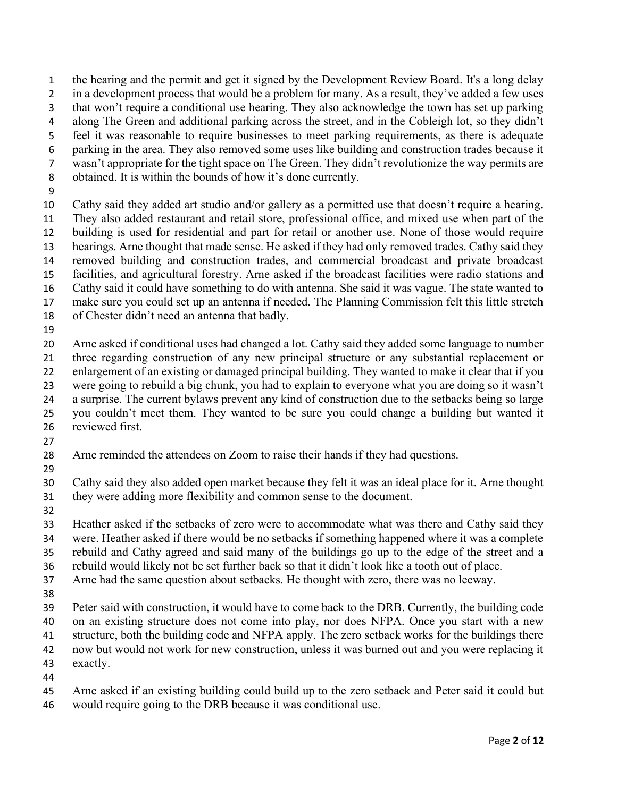the hearing and the permit and get it signed by the Development Review Board. It's a long delay 2 in a development process that would be a problem for many. As a result, they've added a few uses that won't require a conditional use hearing. They also acknowledge the town has set up parking along The Green and additional parking across the street, and in the Cobleigh lot, so they didn't feel it was reasonable to require businesses to meet parking requirements, as there is adequate

parking in the area. They also removed some uses like building and construction trades because it wasn't appropriate for the tight space on The Green. They didn't revolutionize the way permits are

- obtained. It is within the bounds of how it's done currently.
- 

Cathy said they added art studio and/or gallery as a permitted use that doesn't require a hearing. They also added restaurant and retail store, professional office, and mixed use when part of the building is used for residential and part for retail or another use. None of those would require hearings. Arne thought that made sense. He asked if they had only removed trades. Cathy said they removed building and construction trades, and commercial broadcast and private broadcast facilities, and agricultural forestry. Arne asked if the broadcast facilities were radio stations and Cathy said it could have something to do with antenna. She said it was vague. The state wanted to make sure you could set up an antenna if needed. The Planning Commission felt this little stretch

- of Chester didn't need an antenna that badly.
- 

Arne asked if conditional uses had changed a lot. Cathy said they added some language to number three regarding construction of any new principal structure or any substantial replacement or enlargement of an existing or damaged principal building. They wanted to make it clear that if you were going to rebuild a big chunk, you had to explain to everyone what you are doing so it wasn't a surprise. The current bylaws prevent any kind of construction due to the setbacks being so large you couldn't meet them. They wanted to be sure you could change a building but wanted it reviewed first.

Arne reminded the attendees on Zoom to raise their hands if they had questions.

Cathy said they also added open market because they felt it was an ideal place for it. Arne thought they were adding more flexibility and common sense to the document.

Heather asked if the setbacks of zero were to accommodate what was there and Cathy said they were. Heather asked if there would be no setbacks if something happened where it was a complete rebuild and Cathy agreed and said many of the buildings go up to the edge of the street and a

rebuild would likely not be set further back so that it didn't look like a tooth out of place.

Arne had the same question about setbacks. He thought with zero, there was no leeway.

Peter said with construction, it would have to come back to the DRB. Currently, the building code on an existing structure does not come into play, nor does NFPA. Once you start with a new

- structure, both the building code and NFPA apply. The zero setback works for the buildings there
- now but would not work for new construction, unless it was burned out and you were replacing it
- exactly.
- 
- Arne asked if an existing building could build up to the zero setback and Peter said it could but
- would require going to the DRB because it was conditional use.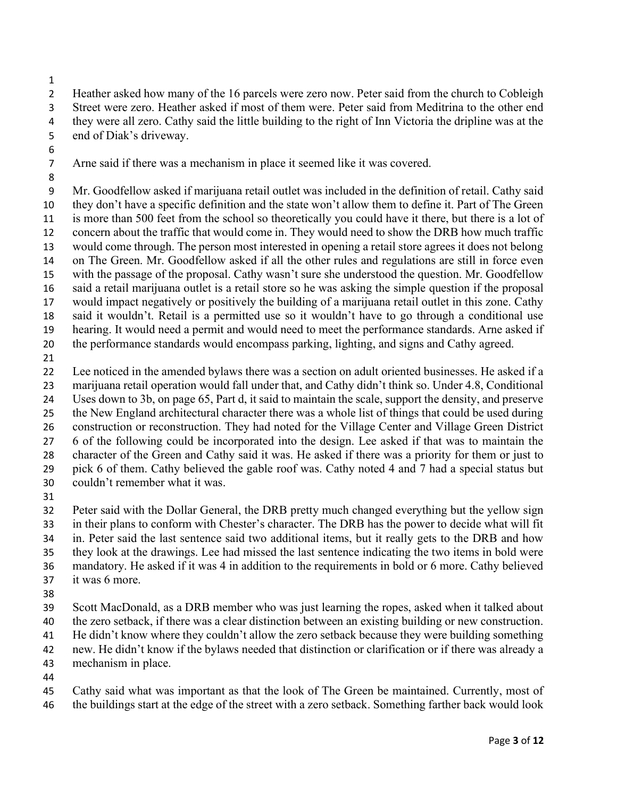Heather asked how many of the 16 parcels were zero now. Peter said from the church to Cobleigh Street were zero. Heather asked if most of them were. Peter said from Meditrina to the other end they were all zero. Cathy said the little building to the right of Inn Victoria the dripline was at the end of Diak's driveway.

Arne said if there was a mechanism in place it seemed like it was covered.

- Mr. Goodfellow asked if marijuana retail outlet was included in the definition of retail. Cathy said they don't have a specific definition and the state won't allow them to define it. Part of The Green is more than 500 feet from the school so theoretically you could have it there, but there is a lot of concern about the traffic that would come in. They would need to show the DRB how much traffic would come through. The person most interested in opening a retail store agrees it does not belong on The Green. Mr. Goodfellow asked if all the other rules and regulations are still in force even with the passage of the proposal. Cathy wasn't sure she understood the question. Mr. Goodfellow said a retail marijuana outlet is a retail store so he was asking the simple question if the proposal would impact negatively or positively the building of a marijuana retail outlet in this zone. Cathy said it wouldn't. Retail is a permitted use so it wouldn't have to go through a conditional use hearing. It would need a permit and would need to meet the performance standards. Arne asked if the performance standards would encompass parking, lighting, and signs and Cathy agreed.
- 

Lee noticed in the amended bylaws there was a section on adult oriented businesses. He asked if a marijuana retail operation would fall under that, and Cathy didn't think so. Under 4.8, Conditional Uses down to 3b, on page 65, Part d, it said to maintain the scale, support the density, and preserve the New England architectural character there was a whole list of things that could be used during construction or reconstruction. They had noted for the Village Center and Village Green District 6 of the following could be incorporated into the design. Lee asked if that was to maintain the character of the Green and Cathy said it was. He asked if there was a priority for them or just to pick 6 of them. Cathy believed the gable roof was. Cathy noted 4 and 7 had a special status but couldn't remember what it was.

Peter said with the Dollar General, the DRB pretty much changed everything but the yellow sign in their plans to conform with Chester's character. The DRB has the power to decide what will fit in. Peter said the last sentence said two additional items, but it really gets to the DRB and how they look at the drawings. Lee had missed the last sentence indicating the two items in bold were mandatory. He asked if it was 4 in addition to the requirements in bold or 6 more. Cathy believed it was 6 more.

Scott MacDonald, as a DRB member who was just learning the ropes, asked when it talked about the zero setback, if there was a clear distinction between an existing building or new construction.

He didn't know where they couldn't allow the zero setback because they were building something

new. He didn't know if the bylaws needed that distinction or clarification or if there was already a mechanism in place.

Cathy said what was important as that the look of The Green be maintained. Currently, most of the buildings start at the edge of the street with a zero setback. Something farther back would look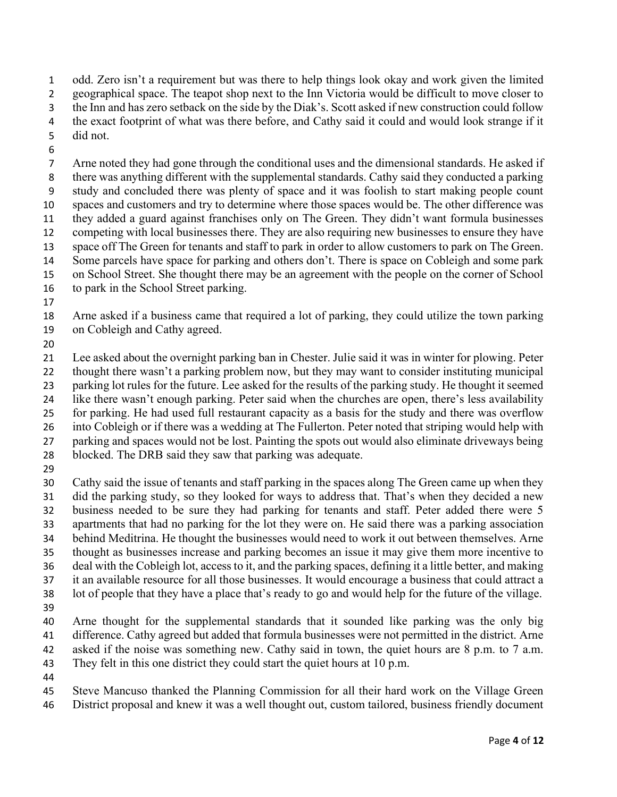odd. Zero isn't a requirement but was there to help things look okay and work given the limited geographical space. The teapot shop next to the Inn Victoria would be difficult to move closer to the Inn and has zero setback on the side by the Diak's. Scott asked if new construction could follow the exact footprint of what was there before, and Cathy said it could and would look strange if it did not.

Arne noted they had gone through the conditional uses and the dimensional standards. He asked if there was anything different with the supplemental standards. Cathy said they conducted a parking study and concluded there was plenty of space and it was foolish to start making people count spaces and customers and try to determine where those spaces would be. The other difference was they added a guard against franchises only on The Green. They didn't want formula businesses competing with local businesses there. They are also requiring new businesses to ensure they have space off The Green for tenants and staff to park in order to allow customers to park on The Green. Some parcels have space for parking and others don't. There is space on Cobleigh and some park on School Street. She thought there may be an agreement with the people on the corner of School

to park in the School Street parking.

Arne asked if a business came that required a lot of parking, they could utilize the town parking on Cobleigh and Cathy agreed.

Lee asked about the overnight parking ban in Chester. Julie said it was in winter for plowing. Peter thought there wasn't a parking problem now, but they may want to consider instituting municipal parking lot rules for the future. Lee asked for the results of the parking study. He thought it seemed like there wasn't enough parking. Peter said when the churches are open, there's less availability for parking. He had used full restaurant capacity as a basis for the study and there was overflow into Cobleigh or if there was a wedding at The Fullerton. Peter noted that striping would help with parking and spaces would not be lost. Painting the spots out would also eliminate driveways being blocked. The DRB said they saw that parking was adequate.

Cathy said the issue of tenants and staff parking in the spaces along The Green came up when they did the parking study, so they looked for ways to address that. That's when they decided a new business needed to be sure they had parking for tenants and staff. Peter added there were 5 apartments that had no parking for the lot they were on. He said there was a parking association behind Meditrina. He thought the businesses would need to work it out between themselves. Arne thought as businesses increase and parking becomes an issue it may give them more incentive to deal with the Cobleigh lot, access to it, and the parking spaces, defining it a little better, and making it an available resource for all those businesses. It would encourage a business that could attract a lot of people that they have a place that's ready to go and would help for the future of the village. Arne thought for the supplemental standards that it sounded like parking was the only big

difference. Cathy agreed but added that formula businesses were not permitted in the district. Arne

asked if the noise was something new. Cathy said in town, the quiet hours are 8 p.m. to 7 a.m.

They felt in this one district they could start the quiet hours at 10 p.m.

Steve Mancuso thanked the Planning Commission for all their hard work on the Village Green

District proposal and knew it was a well thought out, custom tailored, business friendly document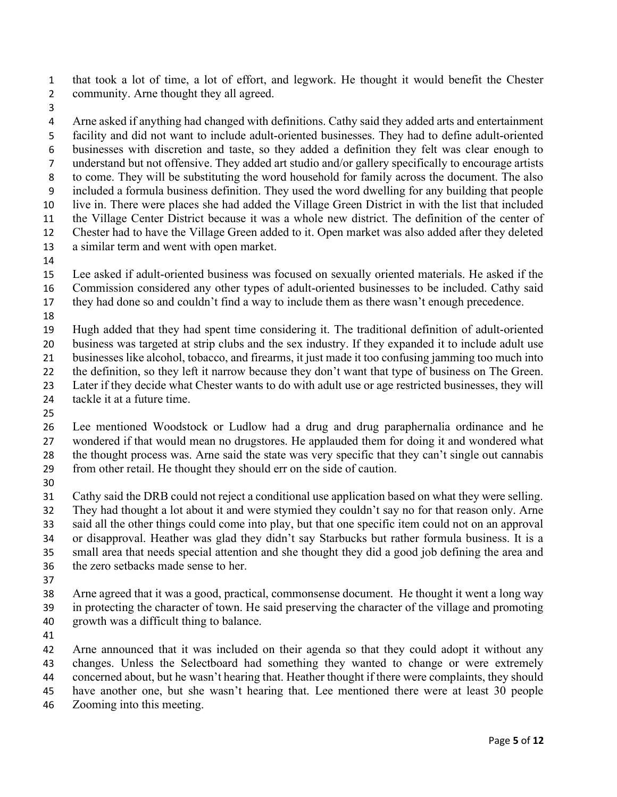that took a lot of time, a lot of effort, and legwork. He thought it would benefit the Chester community. Arne thought they all agreed.

Arne asked if anything had changed with definitions. Cathy said they added arts and entertainment facility and did not want to include adult-oriented businesses. They had to define adult-oriented businesses with discretion and taste, so they added a definition they felt was clear enough to understand but not offensive. They added art studio and/or gallery specifically to encourage artists to come. They will be substituting the word household for family across the document. The also included a formula business definition. They used the word dwelling for any building that people live in. There were places she had added the Village Green District in with the list that included the Village Center District because it was a whole new district. The definition of the center of Chester had to have the Village Green added to it. Open market was also added after they deleted a similar term and went with open market.

Lee asked if adult-oriented business was focused on sexually oriented materials. He asked if the Commission considered any other types of adult-oriented businesses to be included. Cathy said

they had done so and couldn't find a way to include them as there wasn't enough precedence.

Hugh added that they had spent time considering it. The traditional definition of adult-oriented

business was targeted at strip clubs and the sex industry. If they expanded it to include adult use businesses like alcohol, tobacco, and firearms, it just made it too confusing jamming too much into

22 the definition, so they left it narrow because they don't want that type of business on The Green.

Later if they decide what Chester wants to do with adult use or age restricted businesses, they will

24 tackle it at a future time.

Lee mentioned Woodstock or Ludlow had a drug and drug paraphernalia ordinance and he wondered if that would mean no drugstores. He applauded them for doing it and wondered what the thought process was. Arne said the state was very specific that they can't single out cannabis from other retail. He thought they should err on the side of caution.

Cathy said the DRB could not reject a conditional use application based on what they were selling. They had thought a lot about it and were stymied they couldn't say no for that reason only. Arne said all the other things could come into play, but that one specific item could not on an approval

or disapproval. Heather was glad they didn't say Starbucks but rather formula business. It is a small area that needs special attention and she thought they did a good job defining the area and the zero setbacks made sense to her.

Arne agreed that it was a good, practical, commonsense document. He thought it went a long way in protecting the character of town. He said preserving the character of the village and promoting growth was a difficult thing to balance.

Arne announced that it was included on their agenda so that they could adopt it without any changes. Unless the Selectboard had something they wanted to change or were extremely concerned about, but he wasn't hearing that. Heather thought if there were complaints, they should have another one, but she wasn't hearing that. Lee mentioned there were at least 30 people

Zooming into this meeting.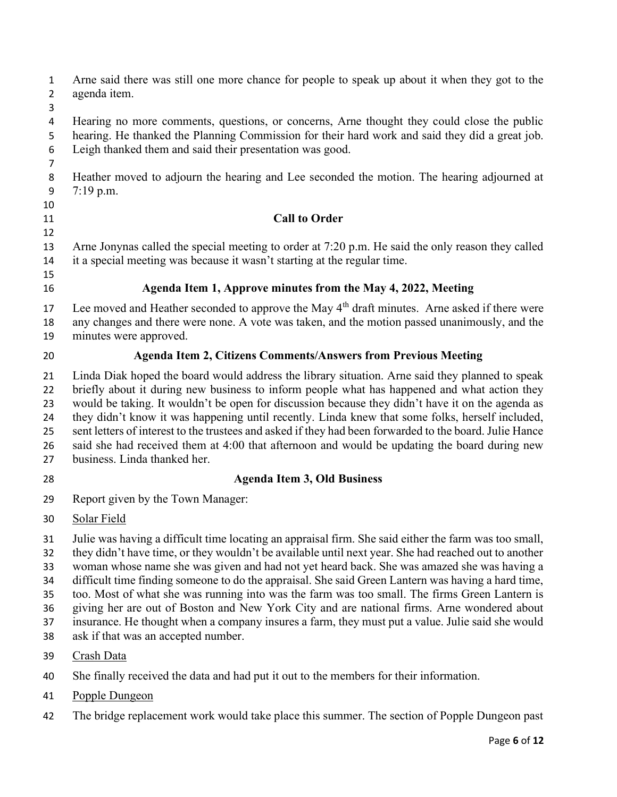Arne said there was still one more chance for people to speak up about it when they got to the agenda item.

Hearing no more comments, questions, or concerns, Arne thought they could close the public hearing. He thanked the Planning Commission for their hard work and said they did a great job. Leigh thanked them and said their presentation was good.

Heather moved to adjourn the hearing and Lee seconded the motion. The hearing adjourned at 7:19 p.m.

## Call to Order

Arne Jonynas called the special meeting to order at 7:20 p.m. He said the only reason they called it a special meeting was because it wasn't starting at the regular time.

## Agenda Item 1, Approve minutes from the May 4, 2022, Meeting

17 Lee moved and Heather seconded to approve the May  $4<sup>th</sup>$  draft minutes. Arne asked if there were any changes and there were none. A vote was taken, and the motion passed unanimously, and the minutes were approved.

## Agenda Item 2, Citizens Comments/Answers from Previous Meeting

Linda Diak hoped the board would address the library situation. Arne said they planned to speak briefly about it during new business to inform people what has happened and what action they would be taking. It wouldn't be open for discussion because they didn't have it on the agenda as they didn't know it was happening until recently. Linda knew that some folks, herself included, sent letters of interest to the trustees and asked if they had been forwarded to the board. Julie Hance said she had received them at 4:00 that afternoon and would be updating the board during new business. Linda thanked her.

# Agenda Item 3, Old Business

Report given by the Town Manager:

Solar Field

Julie was having a difficult time locating an appraisal firm. She said either the farm was too small, they didn't have time, or they wouldn't be available until next year. She had reached out to another

woman whose name she was given and had not yet heard back. She was amazed she was having a

difficult time finding someone to do the appraisal. She said Green Lantern was having a hard time,

too. Most of what she was running into was the farm was too small. The firms Green Lantern is

giving her are out of Boston and New York City and are national firms. Arne wondered about

insurance. He thought when a company insures a farm, they must put a value. Julie said she would

- ask if that was an accepted number.
- Crash Data
- She finally received the data and had put it out to the members for their information.
- Popple Dungeon
- The bridge replacement work would take place this summer. The section of Popple Dungeon past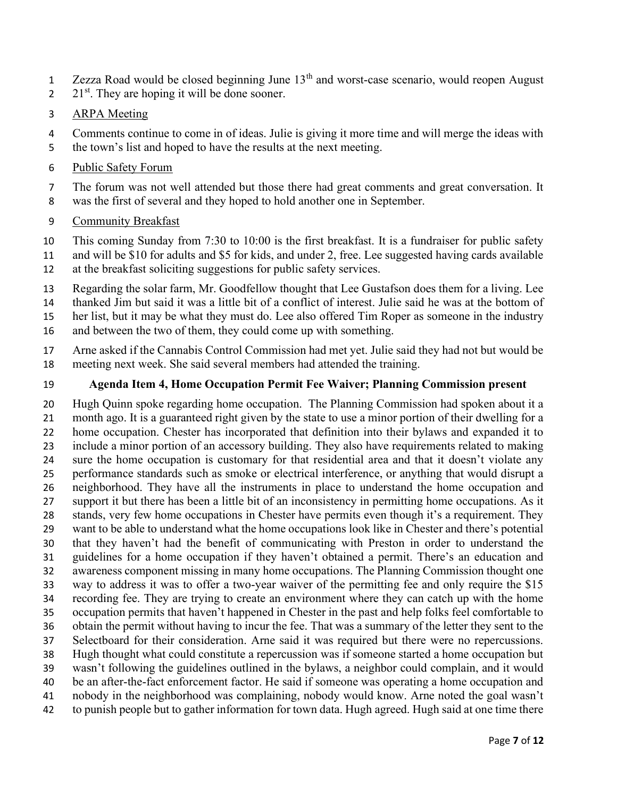- $\frac{1}{2}$  Zezza Road would be closed beginning June 13<sup>th</sup> and worst-case scenario, would reopen August
- 2  $21<sup>st</sup>$ . They are hoping it will be done sooner.

### ARPA Meeting

Comments continue to come in of ideas. Julie is giving it more time and will merge the ideas with the town's list and hoped to have the results at the next meeting.

#### Public Safety Forum

The forum was not well attended but those there had great comments and great conversation. It was the first of several and they hoped to hold another one in September.

#### Community Breakfast

This coming Sunday from 7:30 to 10:00 is the first breakfast. It is a fundraiser for public safety

- and will be \$10 for adults and \$5 for kids, and under 2, free. Lee suggested having cards available at the breakfast soliciting suggestions for public safety services.
- Regarding the solar farm, Mr. Goodfellow thought that Lee Gustafson does them for a living. Lee thanked Jim but said it was a little bit of a conflict of interest. Julie said he was at the bottom of
- her list, but it may be what they must do. Lee also offered Tim Roper as someone in the industry
- and between the two of them, they could come up with something.
- Arne asked if the Cannabis Control Commission had met yet. Julie said they had not but would be meeting next week. She said several members had attended the training.

#### Agenda Item 4, Home Occupation Permit Fee Waiver; Planning Commission present

Hugh Quinn spoke regarding home occupation. The Planning Commission had spoken about it a month ago. It is a guaranteed right given by the state to use a minor portion of their dwelling for a home occupation. Chester has incorporated that definition into their bylaws and expanded it to include a minor portion of an accessory building. They also have requirements related to making sure the home occupation is customary for that residential area and that it doesn't violate any performance standards such as smoke or electrical interference, or anything that would disrupt a neighborhood. They have all the instruments in place to understand the home occupation and support it but there has been a little bit of an inconsistency in permitting home occupations. As it stands, very few home occupations in Chester have permits even though it's a requirement. They want to be able to understand what the home occupations look like in Chester and there's potential that they haven't had the benefit of communicating with Preston in order to understand the guidelines for a home occupation if they haven't obtained a permit. There's an education and awareness component missing in many home occupations. The Planning Commission thought one way to address it was to offer a two-year waiver of the permitting fee and only require the \$15 recording fee. They are trying to create an environment where they can catch up with the home occupation permits that haven't happened in Chester in the past and help folks feel comfortable to obtain the permit without having to incur the fee. That was a summary of the letter they sent to the Selectboard for their consideration. Arne said it was required but there were no repercussions. Hugh thought what could constitute a repercussion was if someone started a home occupation but wasn't following the guidelines outlined in the bylaws, a neighbor could complain, and it would be an after-the-fact enforcement factor. He said if someone was operating a home occupation and nobody in the neighborhood was complaining, nobody would know. Arne noted the goal wasn't to punish people but to gather information for town data. Hugh agreed. Hugh said at one time there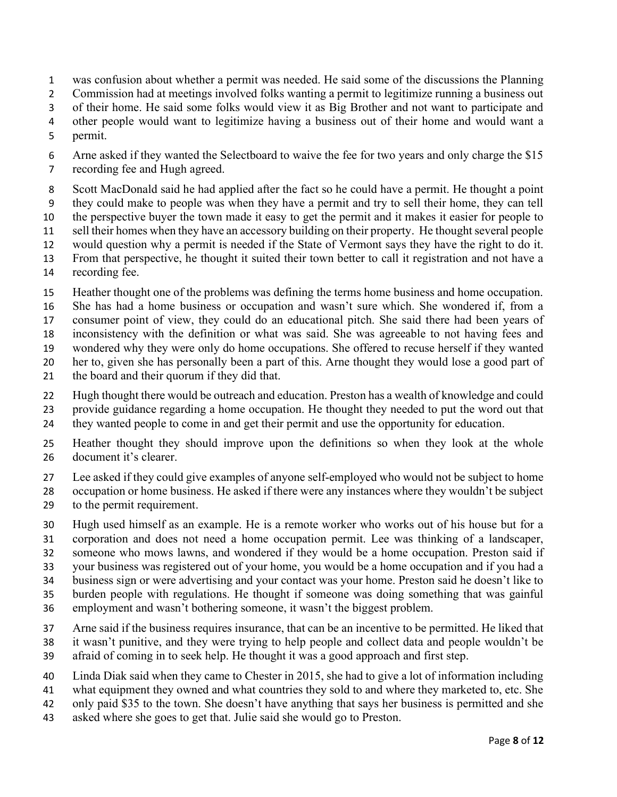- was confusion about whether a permit was needed. He said some of the discussions the Planning
- Commission had at meetings involved folks wanting a permit to legitimize running a business out
- of their home. He said some folks would view it as Big Brother and not want to participate and
- other people would want to legitimize having a business out of their home and would want a
- permit.
- 6 Arne asked if they wanted the Selectboard to waive the fee for two years and only charge the \$15 recording fee and Hugh agreed.
- Scott MacDonald said he had applied after the fact so he could have a permit. He thought a point they could make to people was when they have a permit and try to sell their home, they can tell the perspective buyer the town made it easy to get the permit and it makes it easier for people to sell their homes when they have an accessory building on their property. He thought several people would question why a permit is needed if the State of Vermont says they have the right to do it. From that perspective, he thought it suited their town better to call it registration and not have a
- recording fee.
- Heather thought one of the problems was defining the terms home business and home occupation.
- She has had a home business or occupation and wasn't sure which. She wondered if, from a
- consumer point of view, they could do an educational pitch. She said there had been years of
- inconsistency with the definition or what was said. She was agreeable to not having fees and
- wondered why they were only do home occupations. She offered to recuse herself if they wanted
- her to, given she has personally been a part of this. Arne thought they would lose a good part of
- the board and their quorum if they did that.
- Hugh thought there would be outreach and education. Preston has a wealth of knowledge and could
- provide guidance regarding a home occupation. He thought they needed to put the word out that
- they wanted people to come in and get their permit and use the opportunity for education.
- Heather thought they should improve upon the definitions so when they look at the whole document it's clearer.
- Lee asked if they could give examples of anyone self-employed who would not be subject to home
- occupation or home business. He asked if there were any instances where they wouldn't be subject
- to the permit requirement.
- Hugh used himself as an example. He is a remote worker who works out of his house but for a
- corporation and does not need a home occupation permit. Lee was thinking of a landscaper,
- someone who mows lawns, and wondered if they would be a home occupation. Preston said if
- your business was registered out of your home, you would be a home occupation and if you had a
- business sign or were advertising and your contact was your home. Preston said he doesn't like to
- burden people with regulations. He thought if someone was doing something that was gainful
- employment and wasn't bothering someone, it wasn't the biggest problem.
- Arne said if the business requires insurance, that can be an incentive to be permitted. He liked that
- it wasn't punitive, and they were trying to help people and collect data and people wouldn't be
- afraid of coming in to seek help. He thought it was a good approach and first step.
- Linda Diak said when they came to Chester in 2015, she had to give a lot of information including
- what equipment they owned and what countries they sold to and where they marketed to, etc. She
- only paid \$35 to the town. She doesn't have anything that says her business is permitted and she
- asked where she goes to get that. Julie said she would go to Preston.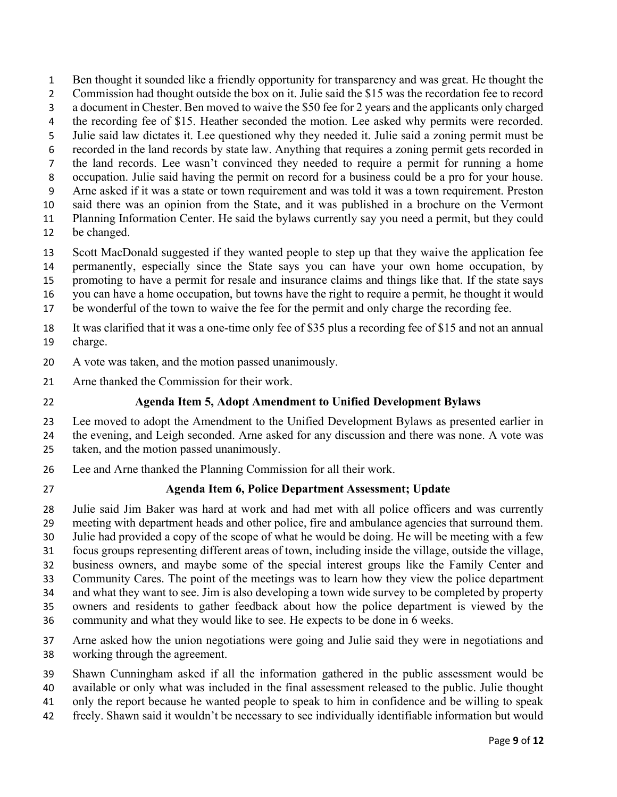2 Commission had thought outside the box on it. Julie said the \$15 was the recordation fee to record a document in Chester. Ben moved to waive the \$50 fee for 2 years and the applicants only charged 4 the recording fee of \$15. Heather seconded the motion. Lee asked why permits were recorded. Julie said law dictates it. Lee questioned why they needed it. Julie said a zoning permit must be recorded in the land records by state law. Anything that requires a zoning permit gets recorded in the land records. Lee wasn't convinced they needed to require a permit for running a home occupation. Julie said having the permit on record for a business could be a pro for your house. Arne asked if it was a state or town requirement and was told it was a town requirement. Preston said there was an opinion from the State, and it was published in a brochure on the Vermont Planning Information Center. He said the bylaws currently say you need a permit, but they could

Ben thought it sounded like a friendly opportunity for transparency and was great. He thought the

- be changed.
- Scott MacDonald suggested if they wanted people to step up that they waive the application fee

permanently, especially since the State says you can have your own home occupation, by

promoting to have a permit for resale and insurance claims and things like that. If the state says

you can have a home occupation, but towns have the right to require a permit, he thought it would

be wonderful of the town to waive the fee for the permit and only charge the recording fee.

It was clarified that it was a one-time only fee of \$35 plus a recording fee of \$15 and not an annual charge.

A vote was taken, and the motion passed unanimously.

Arne thanked the Commission for their work.

# Agenda Item 5, Adopt Amendment to Unified Development Bylaws

Lee moved to adopt the Amendment to the Unified Development Bylaws as presented earlier in the evening, and Leigh seconded. Arne asked for any discussion and there was none. A vote was taken, and the motion passed unanimously.

- Lee and Arne thanked the Planning Commission for all their work.
- 

# Agenda Item 6, Police Department Assessment; Update

Julie said Jim Baker was hard at work and had met with all police officers and was currently meeting with department heads and other police, fire and ambulance agencies that surround them.

Julie had provided a copy of the scope of what he would be doing. He will be meeting with a few

focus groups representing different areas of town, including inside the village, outside the village,

business owners, and maybe some of the special interest groups like the Family Center and

Community Cares. The point of the meetings was to learn how they view the police department

and what they want to see. Jim is also developing a town wide survey to be completed by property

owners and residents to gather feedback about how the police department is viewed by the

- community and what they would like to see. He expects to be done in 6 weeks.
- Arne asked how the union negotiations were going and Julie said they were in negotiations and working through the agreement.
- Shawn Cunningham asked if all the information gathered in the public assessment would be available or only what was included in the final assessment released to the public. Julie thought
- only the report because he wanted people to speak to him in confidence and be willing to speak
- freely. Shawn said it wouldn't be necessary to see individually identifiable information but would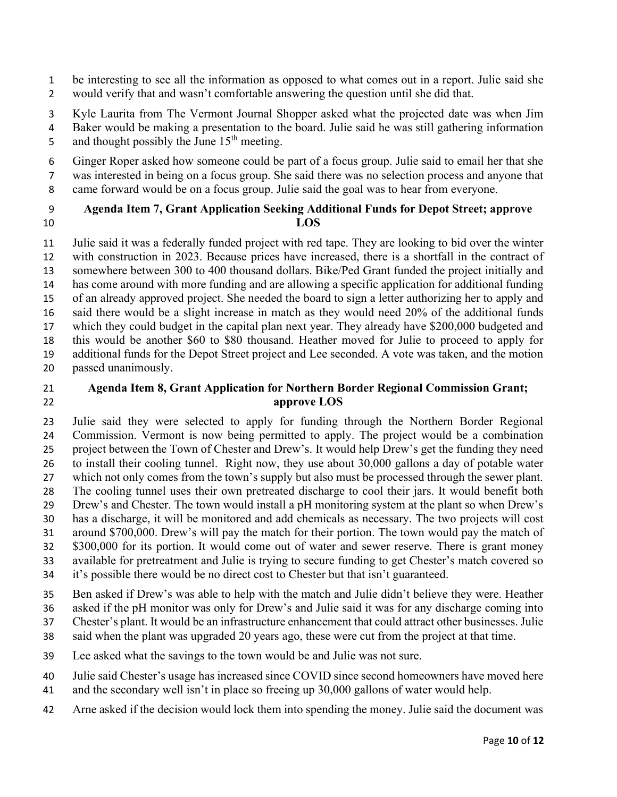- be interesting to see all the information as opposed to what comes out in a report. Julie said she would verify that and wasn't comfortable answering the question until she did that.
- Kyle Laurita from The Vermont Journal Shopper asked what the projected date was when Jim Baker would be making a presentation to the board. Julie said he was still gathering information 5 and thought possibly the June  $15<sup>th</sup>$  meeting.
- Ginger Roper asked how someone could be part of a focus group. Julie said to email her that she was interested in being on a focus group. She said there was no selection process and anyone that
- came forward would be on a focus group. Julie said the goal was to hear from everyone.
- 

#### Agenda Item 7, Grant Application Seeking Additional Funds for Depot Street; approve 10 LOS

Julie said it was a federally funded project with red tape. They are looking to bid over the winter with construction in 2023. Because prices have increased, there is a shortfall in the contract of somewhere between 300 to 400 thousand dollars. Bike/Ped Grant funded the project initially and has come around with more funding and are allowing a specific application for additional funding of an already approved project. She needed the board to sign a letter authorizing her to apply and said there would be a slight increase in match as they would need 20% of the additional funds which they could budget in the capital plan next year. They already have \$200,000 budgeted and this would be another \$60 to \$80 thousand. Heather moved for Julie to proceed to apply for additional funds for the Depot Street project and Lee seconded. A vote was taken, and the motion passed unanimously.

## Agenda Item 8, Grant Application for Northern Border Regional Commission Grant; approve LOS

Julie said they were selected to apply for funding through the Northern Border Regional Commission. Vermont is now being permitted to apply. The project would be a combination project between the Town of Chester and Drew's. It would help Drew's get the funding they need to install their cooling tunnel. Right now, they use about 30,000 gallons a day of potable water which not only comes from the town's supply but also must be processed through the sewer plant. The cooling tunnel uses their own pretreated discharge to cool their jars. It would benefit both Drew's and Chester. The town would install a pH monitoring system at the plant so when Drew's has a discharge, it will be monitored and add chemicals as necessary. The two projects will cost around \$700,000. Drew's will pay the match for their portion. The town would pay the match of \$300,000 for its portion. It would come out of water and sewer reserve. There is grant money available for pretreatment and Julie is trying to secure funding to get Chester's match covered so it's possible there would be no direct cost to Chester but that isn't guaranteed.

Ben asked if Drew's was able to help with the match and Julie didn't believe they were. Heather

asked if the pH monitor was only for Drew's and Julie said it was for any discharge coming into

- Chester's plant. It would be an infrastructure enhancement that could attract other businesses. Julie said when the plant was upgraded 20 years ago, these were cut from the project at that time.
- Lee asked what the savings to the town would be and Julie was not sure.
- Julie said Chester's usage has increased since COVID since second homeowners have moved here
- and the secondary well isn't in place so freeing up 30,000 gallons of water would help.
- Arne asked if the decision would lock them into spending the money. Julie said the document was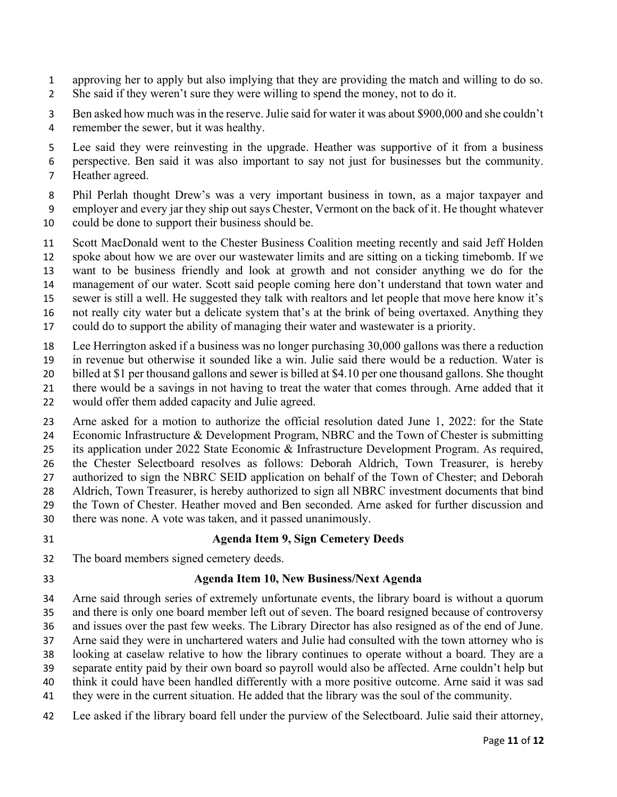- approving her to apply but also implying that they are providing the match and willing to do so. She said if they weren't sure they were willing to spend the money, not to do it.
- Ben asked how much was in the reserve. Julie said for water it was about \$900,000 and she couldn't remember the sewer, but it was healthy.
- Lee said they were reinvesting in the upgrade. Heather was supportive of it from a business
- perspective. Ben said it was also important to say not just for businesses but the community.
- Heather agreed.
- Phil Perlah thought Drew's was a very important business in town, as a major taxpayer and employer and every jar they ship out says Chester, Vermont on the back of it. He thought whatever
- could be done to support their business should be.
- Scott MacDonald went to the Chester Business Coalition meeting recently and said Jeff Holden spoke about how we are over our wastewater limits and are sitting on a ticking timebomb. If we want to be business friendly and look at growth and not consider anything we do for the
- management of our water. Scott said people coming here don't understand that town water and
- sewer is still a well. He suggested they talk with realtors and let people that move here know it's
- not really city water but a delicate system that's at the brink of being overtaxed. Anything they could do to support the ability of managing their water and wastewater is a priority.
- 
- Lee Herrington asked if a business was no longer purchasing 30,000 gallons was there a reduction in revenue but otherwise it sounded like a win. Julie said there would be a reduction. Water is
- billed at \$1 per thousand gallons and sewer is billed at \$4.10 per one thousand gallons. She thought
- there would be a savings in not having to treat the water that comes through. Arne added that it
- would offer them added capacity and Julie agreed.
- Arne asked for a motion to authorize the official resolution dated June 1, 2022: for the State Economic Infrastructure & Development Program, NBRC and the Town of Chester is submitting its application under 2022 State Economic & Infrastructure Development Program. As required, the Chester Selectboard resolves as follows: Deborah Aldrich, Town Treasurer, is hereby 27 authorized to sign the NBRC SEID application on behalf of the Town of Chester; and Deborah Aldrich, Town Treasurer, is hereby authorized to sign all NBRC investment documents that bind the Town of Chester. Heather moved and Ben seconded. Arne asked for further discussion and there was none. A vote was taken, and it passed unanimously.
- 

# Agenda Item 9, Sign Cemetery Deeds

- The board members signed cemetery deeds.
- 

# Agenda Item 10, New Business/Next Agenda

Arne said through series of extremely unfortunate events, the library board is without a quorum and there is only one board member left out of seven. The board resigned because of controversy and issues over the past few weeks. The Library Director has also resigned as of the end of June. Arne said they were in unchartered waters and Julie had consulted with the town attorney who is looking at caselaw relative to how the library continues to operate without a board. They are a separate entity paid by their own board so payroll would also be affected. Arne couldn't help but think it could have been handled differently with a more positive outcome. Arne said it was sad they were in the current situation. He added that the library was the soul of the community.

Lee asked if the library board fell under the purview of the Selectboard. Julie said their attorney,